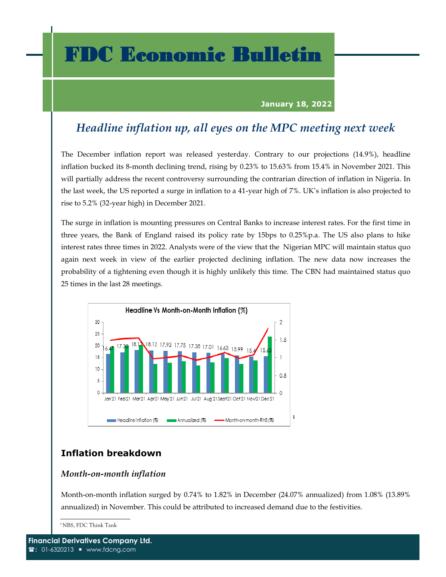## FDC Economic Bulletin

#### **January 18, 2022**

## *Headline inflation up, all eyes on the MPC meeting next week*

The December inflation report was released yesterday. Contrary to our projections (14.9%), headline inflation bucked its 8-month declining trend, rising by 0.23% to 15.63% from 15.4% in November 2021. This will partially address the recent controversy surrounding the contrarian direction of inflation in Nigeria. In the last week, the US reported a surge in inflation to a 41-year high of 7%. UK's inflation is also projected to rise to 5.2% (32-year high) in December 2021.

The surge in inflation is mounting pressures on Central Banks to increase interest rates. For the first time in three years, the Bank of England raised its policy rate by 15bps to 0.25%p.a. The US also plans to hike interest rates three times in 2022. Analysts were of the view that the Nigerian MPC will maintain status quo again next week in view of the earlier projected declining inflation. The new data now increases the probability of a tightening even though it is highly unlikely this time. The CBN had maintained status quo 25 times in the last 28 meetings.



### **Inflation breakdown**

#### *Month-on-month inflation*

Month-on-month inflation surged by 0.74% to 1.82% in December (24.07% annualized) from 1.08% (13.89% annualized) in November. This could be attributed to increased demand due to the festivities.

<sup>1</sup>NBS, FDC Think Tank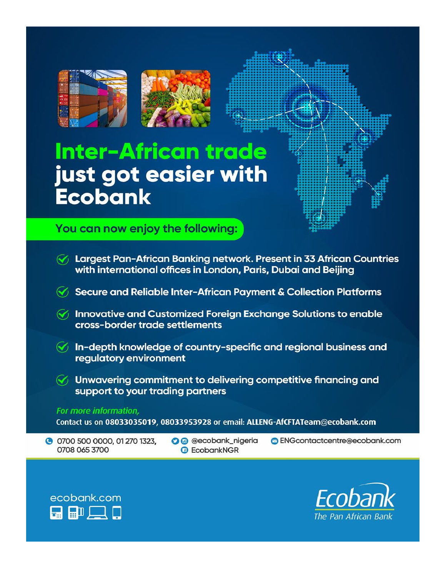

# **Inter-African trade** just got easier with **Ecobank**

You can now enjoy the following:

G Largest Pan-African Banking network. Present in 33 African Countries with international offices in London, Paris, Dubai and Beijing Secure and Reliable Inter-African Payment & Collection Platforms  $\mathcal{G}$  Innovative and Customized Foreign Exchange Solutions to enable cross-border trade settlements  $\mathcal{F}$  In-depth knowledge of country-specific and regional business and regulatory environment  $\mathcal{F}_1$  Unwavering commitment to delivering competitive financing and support to your trading partners For more information, Contact us on 08033035019, 08033953928 or email: ALLENG-AfCFTATeam@ecobank.com C 0700 500 0000, 01 270 1323, **O** @ @ecobank\_nigeria **B** ENGcontactcentre@ecobank.com 0708 065 3700 *A* EcobankNGR



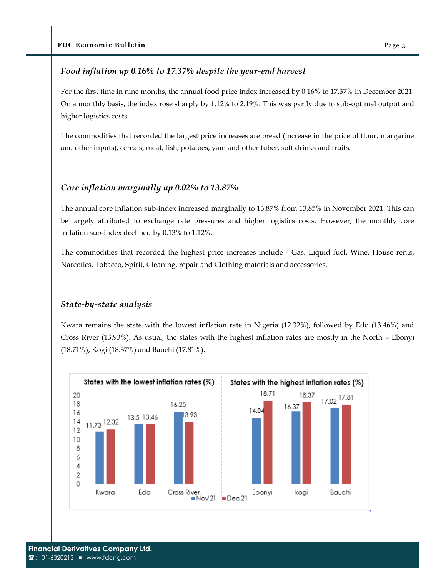#### *Food inflation up 0.16% to 17.37% despite the year-end harvest*

For the first time in nine months, the annual food price index increased by 0.16% to 17.37% in December 2021. On a monthly basis, the index rose sharply by 1.12% to 2.19%. This was partly due to sub-optimal output and higher logistics costs.

The commodities that recorded the largest price increases are bread (increase in the price of flour, margarine and other inputs), cereals, meat, fish, potatoes, yam and other tuber, soft drinks and fruits.

#### *Core inflation marginally up 0.02% to 13.87%*

The annual core inflation sub-index increased marginally to 13.87% from 13.85% in November 2021. This can be largely attributed to exchange rate pressures and higher logistics costs. However, the monthly core inflation sub-index declined by 0.13% to 1.12%.

The commodities that recorded the highest price increases include - Gas, Liquid fuel, Wine, House rents, Narcotics, Tobacco, Spirit, Cleaning, repair and Clothing materials and accessories.

#### *State-by-state analysis*

Kwara remains the state with the lowest inflation rate in Nigeria (12.32%), followed by Edo (13.46%) and Cross River (13.93%). As usual, the states with the highest inflation rates are mostly in the North – Ebonyi (18.71%), Kogi (18.37%) and Bauchi (17.81%).